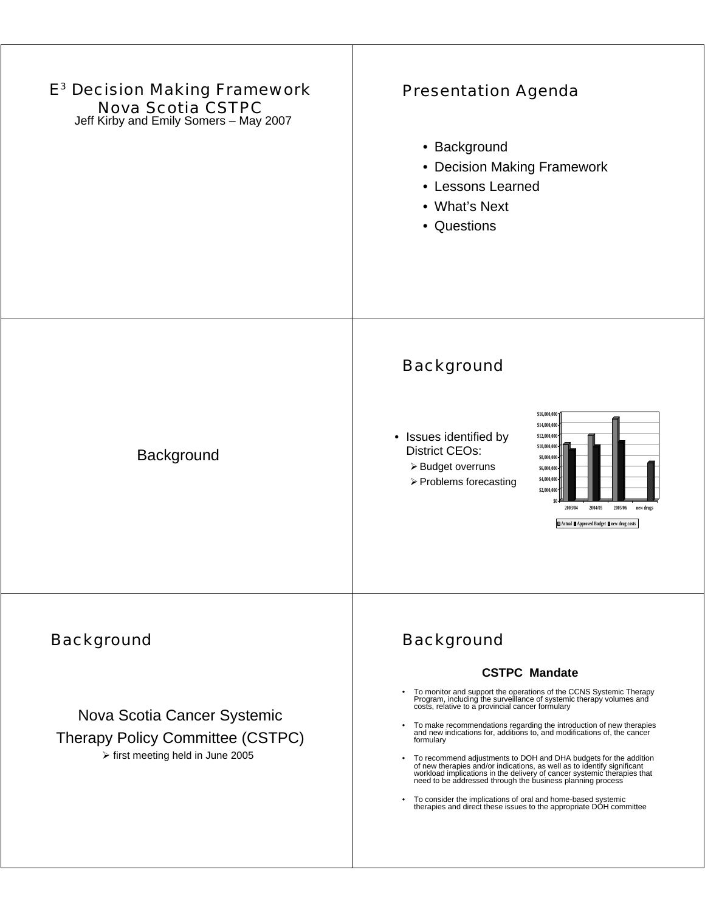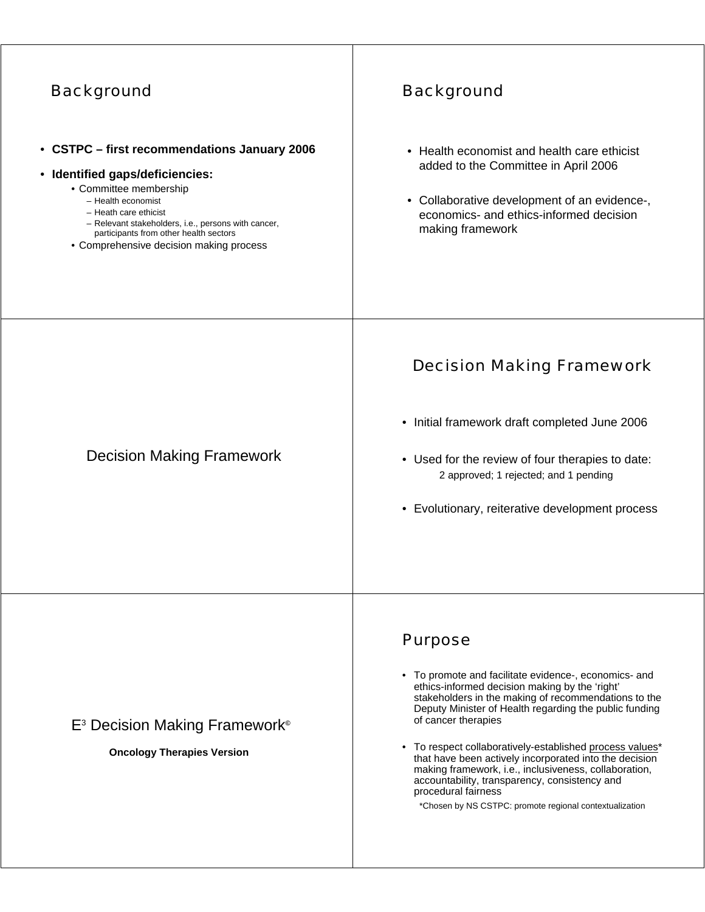| <b>Background</b>                                                                                                                                                                                                                                                                                    | <b>Background</b>                                                                                                                                                                                                                                                                                                                                                                                                                                                                                                                                                                    |
|------------------------------------------------------------------------------------------------------------------------------------------------------------------------------------------------------------------------------------------------------------------------------------------------------|--------------------------------------------------------------------------------------------------------------------------------------------------------------------------------------------------------------------------------------------------------------------------------------------------------------------------------------------------------------------------------------------------------------------------------------------------------------------------------------------------------------------------------------------------------------------------------------|
| • CSTPC - first recommendations January 2006<br>• Identified gaps/deficiencies:<br>• Committee membership<br>- Health economist<br>- Heath care ethicist<br>- Relevant stakeholders, i.e., persons with cancer,<br>participants from other health sectors<br>• Comprehensive decision making process | • Health economist and health care ethicist<br>added to the Committee in April 2006<br>• Collaborative development of an evidence-,<br>economics- and ethics-informed decision<br>making framework                                                                                                                                                                                                                                                                                                                                                                                   |
| <b>Decision Making Framework</b>                                                                                                                                                                                                                                                                     | <b>Decision Making Framework</b><br>• Initial framework draft completed June 2006<br>• Used for the review of four therapies to date:<br>2 approved; 1 rejected; and 1 pending<br>• Evolutionary, reiterative development process                                                                                                                                                                                                                                                                                                                                                    |
| E <sup>3</sup> Decision Making Framework <sup>®</sup><br><b>Oncology Therapies Version</b>                                                                                                                                                                                                           | <b>Purpose</b><br>• To promote and facilitate evidence-, economics- and<br>ethics-informed decision making by the 'right'<br>stakeholders in the making of recommendations to the<br>Deputy Minister of Health regarding the public funding<br>of cancer therapies<br>• To respect collaboratively-established process values*<br>that have been actively incorporated into the decision<br>making framework, i.e., inclusiveness, collaboration,<br>accountability, transparency, consistency and<br>procedural fairness<br>*Chosen by NS CSTPC: promote regional contextualization |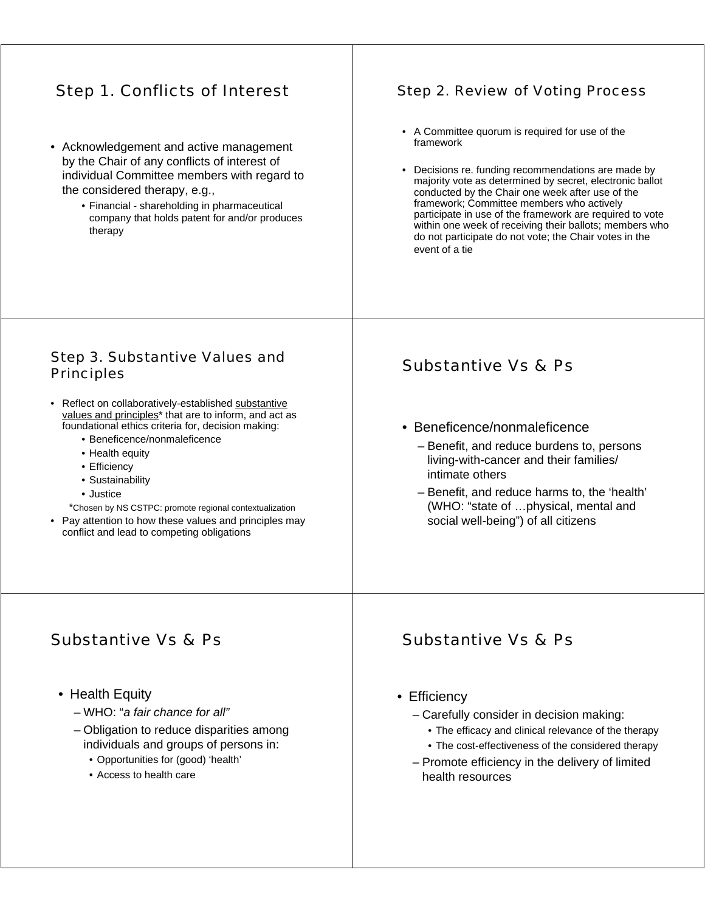## Step 1. Conflicts of Interest

- Acknowledgement and active management by the Chair of any conflicts of interest of individual Committee members with regard to the considered therapy, e.g.,
	- Financial shareholding in pharmaceutical company that holds patent for and/or produces therapy

#### Step 2. Review of Voting Process

- A Committee quorum is required for use of the framework
- Decisions re. funding recommendations are made by majority vote as determined by secret, electronic ballot conducted by the Chair one week after use of the framework; Committee members who actively participate in use of the framework are required to vote within one week of receiving their ballots; members who do not participate do not vote; the Chair votes in the event of a tie

#### Step 3. Substantive Values and Principles

- Reflect on collaboratively-established substantive values and principles\* that are to inform, and act as foundational ethics criteria for, decision making:
	- Beneficence/nonmaleficence
	- Health equity
	- Efficiency
	- Sustainability
	- Justice
	- \*Chosen by NS CSTPC: promote regional contextualization
- Pay attention to how these values and principles may conflict and lead to competing obligations

### Substantive Vs & Ps

- Beneficence/nonmaleficence
	- Benefit, and reduce burdens to, persons living-with-cancer and their families/ intimate others
	- Benefit, and reduce harms to, the 'health' (WHO: "state of …physical, mental and social well-being") of all citizens

### Substantive Vs & Ps

- Health Equity
	- WHO: "*a fair chance for all"*
	- Obligation to reduce disparities among individuals and groups of persons in:
		- Opportunities for (good) 'health'
		- Access to health care

#### Substantive Vs & Ps

- Efficiency
	- Carefully consider in decision making:
		- The efficacy and clinical relevance of the therapy
		- The cost-effectiveness of the considered therapy
	- Promote efficiency in the delivery of limited health resources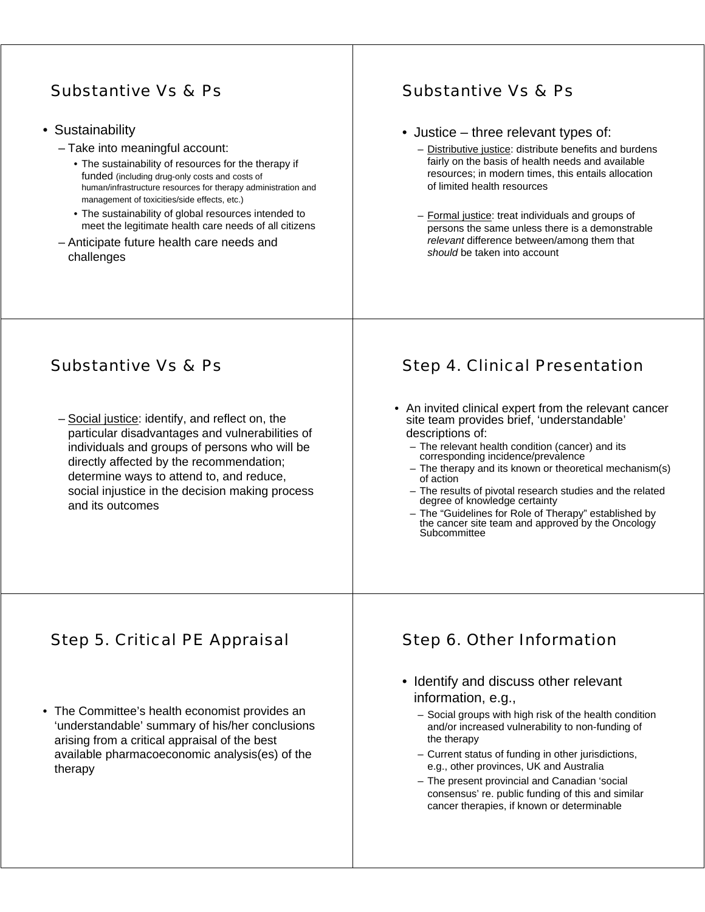## Substantive Vs & Ps

- Sustainability
	- Take into meaningful account:
		- The sustainability of resources for the therapy if funded (including drug-only costs and costs of human/infrastructure resources for therapy administration and management of toxicities/side effects, etc.)
		- The sustainability of global resources intended to meet the legitimate health care needs of all citizens
	- Anticipate future health care needs and challenges

# Substantive Vs & Ps

- Justice three relevant types of:
	- Distributive justice: distribute benefits and burdens fairly on the basis of health needs and available resources; in modern times, this entails allocation of limited health resources
	- Formal justice: treat individuals and groups of persons the same unless there is a demonstrable *relevant* difference between/among them that *should* be taken into account

# Substantive Vs & Ps

– Social justice: identify, and reflect on, the particular disadvantages and vulnerabilities of individuals and groups of persons who will be directly affected by the recommendation; determine ways to attend to, and reduce, social injustice in the decision making process and its outcomes

# Step 4. Clinical Presentation

- An invited clinical expert from the relevant cancer site team provides brief, 'understandable' descriptions of:
	- The relevant health condition (cancer) and its corresponding incidence/prevalence
	- The therapy and its known or theoretical mechanism(s) of action
	- The results of pivotal research studies and the related degree of knowledge certainty
	- The "Guidelines for Role of Therapy" established by the cancer site team and approved by the Oncology **Subcommittee**

# Step 5. Critical PE Appraisal

• The Committee's health economist provides an 'understandable' summary of his/her conclusions arising from a critical appraisal of the best available pharmacoeconomic analysis(es) of the therapy

## Step 6. Other Information

- Identify and discuss other relevant information, e.g.,
	- Social groups with high risk of the health condition and/or increased vulnerability to non-funding of the therapy
	- Current status of funding in other jurisdictions, e.g., other provinces, UK and Australia
	- The present provincial and Canadian 'social consensus' re. public funding of this and similar cancer therapies, if known or determinable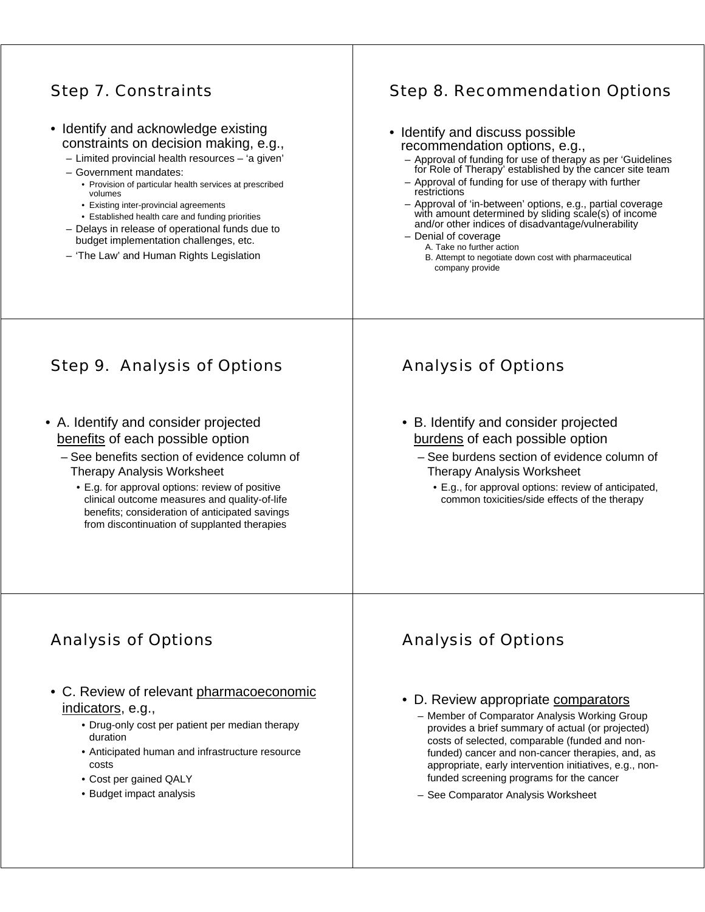### Step 7. Constraints

- Identify and acknowledge existing constraints on decision making, e.g.,
	- Limited provincial health resources 'a given'
	- Government mandates:
		- Provision of particular health services at prescribed volumes
		- Existing inter-provincial agreements
		- Established health care and funding priorities
	- Delays in release of operational funds due to budget implementation challenges, etc.
	- 'The Law' and Human Rights Legislation

### Step 8. Recommendation Options

| • Identify and discuss possible                                                                                                                                          |
|--------------------------------------------------------------------------------------------------------------------------------------------------------------------------|
| recommendation options, e.g.,                                                                                                                                            |
| - Approval of funding for use of therapy as per 'Guidelines<br>for Role of Therapy' established by the cancer site team                                                  |
| - Approval of funding for use of therapy with further<br>restrictions                                                                                                    |
| - Approval of 'in-between' options, e.g., partial coverage<br>with amount determined by sliding scale(s) of income<br>and/or other indices of disadvantage/vulnerability |
| - Denial of coverage                                                                                                                                                     |
| A. Take no further action                                                                                                                                                |
| B. Attempt to negotiate down cost with pharmaceutical<br>company provide                                                                                                 |

# Step 9. Analysis of Options

- A. Identify and consider projected benefits of each possible option
	- See benefits section of evidence column of Therapy Analysis Worksheet
		- E.g. for approval options: review of positive clinical outcome measures and quality-of-life benefits; consideration of anticipated savings from discontinuation of supplanted therapies

# Analysis of Options

- B. Identify and consider projected burdens of each possible option
	- See burdens section of evidence column of Therapy Analysis Worksheet
		- E.g., for approval options: review of anticipated, common toxicities/side effects of the therapy

# Analysis of Options

- C. Review of relevant pharmacoeconomic indicators, e.g.,
	- Drug-only cost per patient per median therapy duration
	- Anticipated human and infrastructure resource costs
	- Cost per gained QALY
	- Budget impact analysis

# Analysis of Options

- D. Review appropriate comparators
	- Member of Comparator Analysis Working Group provides a brief summary of actual (or projected) costs of selected, comparable (funded and nonfunded) cancer and non-cancer therapies, and, as appropriate, early intervention initiatives, e.g., nonfunded screening programs for the cancer
	- See Comparator Analysis Worksheet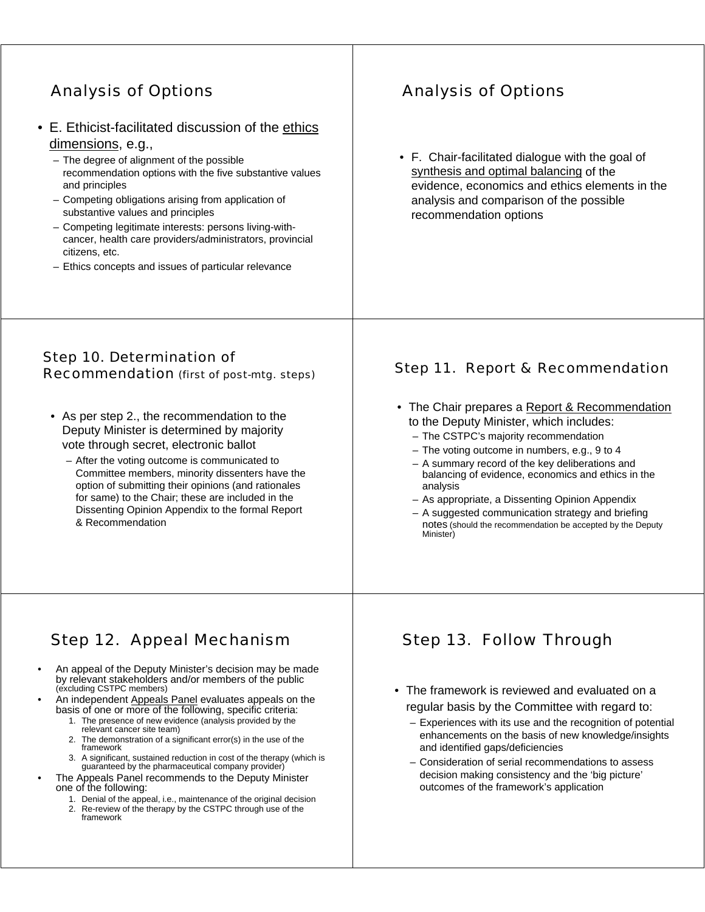# Analysis of Options

- E. Ethicist-facilitated discussion of the ethics dimensions, e.g.,
	- The degree of alignment of the possible recommendation options with the five substantive values and principles
	- Competing obligations arising from application of substantive values and principles
	- Competing legitimate interests: persons living-withcancer, health care providers/administrators, provincial citizens, etc.
	- Ethics concepts and issues of particular relevance

# Analysis of Options

• F. Chair-facilitated dialogue with the goal of synthesis and optimal balancing of the evidence, economics and ethics elements in the analysis and comparison of the possible recommendation options

#### Step 10. Determination of Recommendation (first of post-mtg. steps)

- As per step 2., the recommendation to the Deputy Minister is determined by majority vote through secret, electronic ballot
	- After the voting outcome is communicated to Committee members, minority dissenters have the option of submitting their opinions (and rationales for same) to the Chair; these are included in the Dissenting Opinion Appendix to the formal Report & Recommendation

#### Step 11. Report & Recommendation

- The Chair prepares a Report & Recommendation to the Deputy Minister, which includes:
	- The CSTPC's majority recommendation
	- The voting outcome in numbers, e.g., 9 to 4
	- A summary record of the key deliberations and balancing of evidence, economics and ethics in the analysis
	- As appropriate, a Dissenting Opinion Appendix
	- A suggested communication strategy and briefing notes (should the recommendation be accepted by the Deputy Minister)

## Step 12. Appeal Mechanism

- An appeal of the Deputy Minister's decision may be made by relevant stakeholders and/or members of the public (excluding CSTPC members)
- An independent Appeals Panel evaluates appeals on the basis of one or more of the following, specific criteria:
	- 1. The presence of new evidence (analysis provided by the relevant cancer site team)
	- 2. The demonstration of a significant error(s) in the use of the framework
	- 3. A significant, sustained reduction in cost of the therapy (which is guaranteed by the pharmaceutical company provider)
	- The Appeals Panel recommends to the Deputy Minister one of the following:
		- 1. Denial of the appeal, i.e., maintenance of the original decision
		- 2. Re-review of the therapy by the CSTPC through use of the framework

# Step 13. Follow Through

- The framework is reviewed and evaluated on a regular basis by the Committee with regard to:
	- Experiences with its use and the recognition of potential enhancements on the basis of new knowledge/insights and identified gaps/deficiencies
	- Consideration of serial recommendations to assess decision making consistency and the 'big picture' outcomes of the framework's application